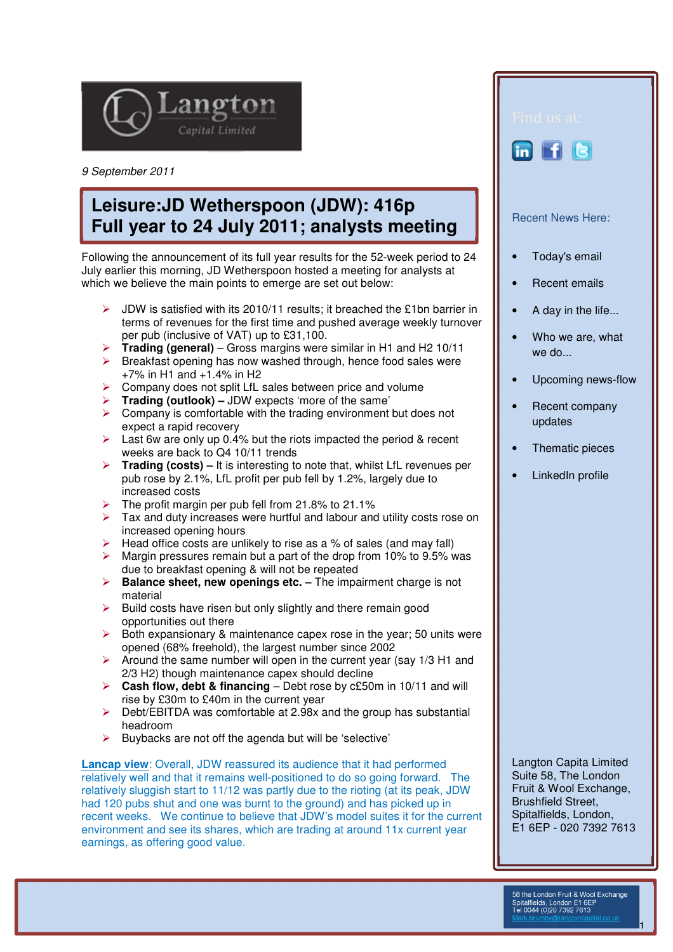

9 September 2011

## **Leisure:JD Wetherspoon (JDW): 416p Full year to 24 July 2011; analysts meeting**

Following the announcement of its full year results for the 52-week period to 24 July earlier this morning, JD Wetherspoon hosted a meeting for analysts at which we believe the main points to emerge are set out below:

- $\triangleright$  JDW is satisfied with its 2010/11 results; it breached the £1bn barrier in terms of revenues for the first time and pushed average weekly turnover per pub (inclusive of VAT) up to £31,100.
- **Trading (general)** Gross margins were similar in H1 and H2 10/11<br>► Breakfast opening has now washed through hence food sales were
- Breakfast opening has now washed through, hence food sales were +7% in H1 and +1.4% in H2
- $\triangleright$  Company does not split LfL sales between price and volume
- **Trading (outlook)** JDW expects 'more of the same'
- $\triangleright$  Company is comfortable with the trading environment but does not expect a rapid recovery
- $\triangleright$  Last 6w are only up 0.4% but the riots impacted the period & recent weeks are back to Q4 10/11 trends
- **Trading (costs)** It is interesting to note that, whilst LfL revenues per pub rose by 2.1%, LfL profit per pub fell by 1.2%, largely due to increased costs
- The profit margin per pub fell from 21.8% to 21.1%
- Tax and duty increases were hurtful and labour and utility costs rose on increased opening hours
- $\triangleright$  Head office costs are unlikely to rise as a % of sales (and may fall)
- $\triangleright$  Margin pressures remain but a part of the drop from 10% to 9.5% was due to breakfast opening & will not be repeated
- **Balance sheet, new openings etc.** The impairment charge is not material
- $\triangleright$  Build costs have risen but only slightly and there remain good opportunities out there
- $\triangleright$  Both expansionary & maintenance capex rose in the year; 50 units were opened (68% freehold), the largest number since 2002
- $\triangleright$  Around the same number will open in the current year (say 1/3 H1 and 2/3 H2) though maintenance capex should decline
- **Cash flow, debt & financing** Debt rose by c£50m in 10/11 and will rise by £30m to £40m in the current year
- $\triangleright$  Debt/EBITDA was comfortable at 2.98x and the group has substantial headroom
- $\triangleright$  Buybacks are not off the agenda but will be 'selective'

**Lancap view:** Overall, JDW reassured its audience that it had performed relatively well and that it remains well-positioned to do so going forward. The relatively sluggish start to 11/12 was partly due to the rioting (at its peak, JDW had 120 pubs shut and one was burnt to the ground) and has picked up in recent weeks. We continue to believe that JDW's model suites it for the current environment and see its shares, which are trading at around 11x current year earnings, as offering good value.

in file

## Recent News Here:

- Today's email
- Recent emails
- A day in the life...
- Who we are, what we do...
- Upcoming news-flow
- Recent company updates
- Thematic pieces
- LinkedIn profile

Langton Capita Limited Suite 58, The London Fruit & Wool Exchange, Brushfield Street, Spitalfields, London, E1 6EP - 020 7392 7613

1